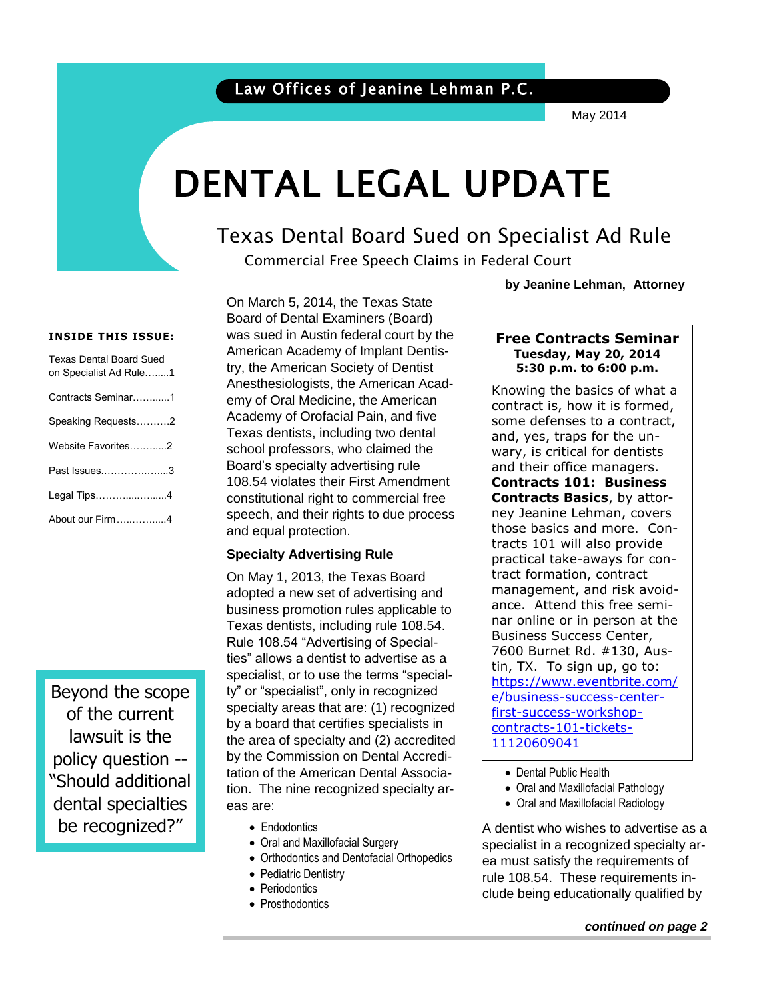### Law Offices of Jeanine Lehman P.C.

May 2014

# DENTAL LEGAL UPDATE

### Texas Dental Board Sued on Specialist Ad Rule

Commercial Free Speech Claims in Federal Court

**by Jeanine Lehman, Attorney**

#### **INSIDE THIS ISSUE:**

| <b>Texas Dental Board Sued</b><br>on Specialist Ad Rule1 |
|----------------------------------------------------------|
| Contracts Seminar1                                       |
| Speaking Requests2                                       |
| Website Favorites2                                       |
| Past Issues3                                             |
| Legal Tips4                                              |
| About our Firm4                                          |

Beyond the scope of the current lawsuit is the policy question -- "Should additional dental specialties be recognized?"

On March 5, 2014, the Texas State Board of Dental Examiners (Board) was sued in Austin federal court by the American Academy of Implant Dentistry, the American Society of Dentist Anesthesiologists, the American Academy of Oral Medicine, the American Academy of Orofacial Pain, and five Texas dentists, including two dental school professors, who claimed the Board's specialty advertising rule 108.54 violates their First Amendment constitutional right to commercial free speech, and their rights to due process and equal protection.

#### **Specialty Advertising Rule**

On May 1, 2013, the Texas Board adopted a new set of advertising and business promotion rules applicable to Texas dentists, including rule 108.54. Rule 108.54 "Advertising of Specialties" allows a dentist to advertise as a specialist, or to use the terms "specialty" or "specialist", only in recognized specialty areas that are: (1) recognized by a board that certifies specialists in the area of specialty and (2) accredited by the Commission on Dental Accreditation of the American Dental Association. The nine recognized specialty areas are:

- Endodontics
- Oral and Maxillofacial Surgery
- Orthodontics and Dentofacial Orthopedics
- Pediatric Dentistry
- Periodontics
- Prosthodontics

#### **Free Contracts Seminar Tuesday, May 20, 2014 5:30 p.m. to 6:00 p.m.**

 $\overline{\phantom{a}}$ 

 $\vert$  Knowing the basics of what a some defenses to a contract, contract is, how it is formed, and, yes, traps for the unwary, is critical for dentists and their office managers. **Contracts 101: Business Contracts Basics**, by attorney Jeanine Lehman, covers those basics and more. Contracts 101 will also provide practical take-aways for contract formation, contract management, and risk avoidance. Attend this free seminar online or in person at the Business Success Center, 7600 Burnet Rd. #130, Austin, TX. To sign up, go to: [https://www.eventbrite.com/](https://www.eventbrite.com/e/business-success-center-first-success-workshop-contracts-101-tickets-11120609041) [e/business-success-center](https://www.eventbrite.com/e/business-success-center-first-success-workshop-contracts-101-tickets-11120609041)[first-success-workshop](https://www.eventbrite.com/e/business-success-center-first-success-workshop-contracts-101-tickets-11120609041)[contracts-101-tickets-](https://www.eventbrite.com/e/business-success-center-first-success-workshop-contracts-101-tickets-11120609041)[11120609041](https://www.eventbrite.com/e/business-success-center-first-success-workshop-contracts-101-tickets-11120609041)

- Dental Public Health
- Oral and Maxillofacial Pathology
- Oral and Maxillofacial Radiology

A dentist who wishes to advertise as a specialist in a recognized specialty area must satisfy the requirements of rule 108.54. These requirements include being educationally qualified by

#### *continued on page 2*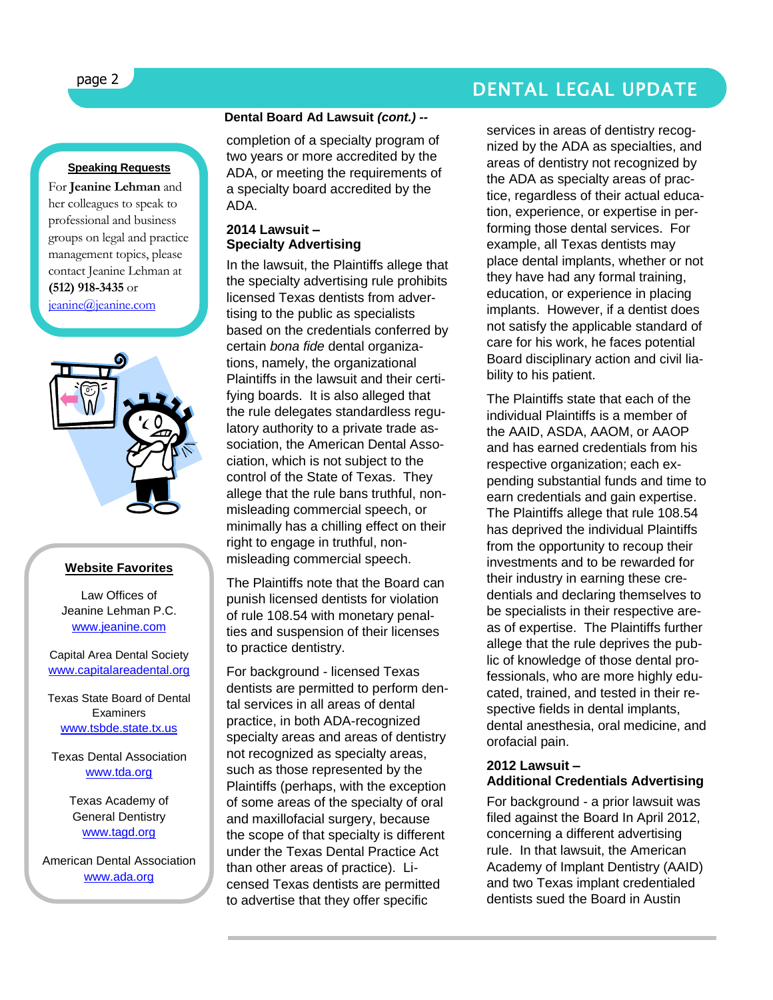## page 2 DENTAL LEGAL UPDATE

#### **Speaking Requests**

For **Jeanine Lehman** and her colleagues to speak to professional and business groups on legal and practice management topics, please contact Jeanine Lehman at **(512) 918-3435** or

[jeanine@jeanine.com](mailto:jeanine@jeanine.com)



#### **Website Favorites**

Law Offices of Jeanine Lehman P.C. [www.jeanine.com](http://www.jeanine.com/)

#### Capital Area Dental Society [www.capitalareadental.org](http://www.capitalareadental.org/)

Texas State Board of Dental **Examiners** [www.tsbde.state.tx.us](http://www.tsbde.state.tx.us/)

Texas Dental Association [www.tda.org](http://www.tda.org/)

> Texas Academy of General Dentistry [www.tagd.org](http://www.tagd.org/)

American Dental Association [www.ada.org](http://www.ada.org/)

#### **Dental Board Ad Lawsuit** *(cont.) --*

completion of a specialty program of two years or more accredited by the ADA, or meeting the requirements of a specialty board accredited by the ADA.

#### **2014 Lawsuit – Specialty Advertising**

In the lawsuit, the Plaintiffs allege that the specialty advertising rule prohibits licensed Texas dentists from advertising to the public as specialists based on the credentials conferred by certain *bona fide* dental organizations, namely, the organizational Plaintiffs in the lawsuit and their certifying boards. It is also alleged that the rule delegates standardless regulatory authority to a private trade association, the American Dental Association, which is not subject to the control of the State of Texas. They allege that the rule bans truthful, nonmisleading commercial speech, or minimally has a chilling effect on their right to engage in truthful, nonmisleading commercial speech.

The Plaintiffs note that the Board can punish licensed dentists for violation of rule 108.54 with monetary penalties and suspension of their licenses to practice dentistry.

For background - licensed Texas dentists are permitted to perform dental services in all areas of dental practice, in both ADA-recognized specialty areas and areas of dentistry not recognized as specialty areas, such as those represented by the Plaintiffs (perhaps, with the exception of some areas of the specialty of oral and maxillofacial surgery, because the scope of that specialty is different under the Texas Dental Practice Act than other areas of practice). Licensed Texas dentists are permitted to advertise that they offer specific

services in areas of dentistry recognized by the ADA as specialties, and areas of dentistry not recognized by the ADA as specialty areas of practice, regardless of their actual education, experience, or expertise in performing those dental services. For example, all Texas dentists may place dental implants, whether or not they have had any formal training, education, or experience in placing implants. However, if a dentist does not satisfy the applicable standard of care for his work, he faces potential Board disciplinary action and civil liability to his patient.

The Plaintiffs state that each of the individual Plaintiffs is a member of the AAID, ASDA, AAOM, or AAOP and has earned credentials from his respective organization; each expending substantial funds and time to earn credentials and gain expertise. The Plaintiffs allege that rule 108.54 has deprived the individual Plaintiffs from the opportunity to recoup their investments and to be rewarded for their industry in earning these credentials and declaring themselves to be specialists in their respective areas of expertise. The Plaintiffs further allege that the rule deprives the public of knowledge of those dental professionals, who are more highly educated, trained, and tested in their respective fields in dental implants, dental anesthesia, oral medicine, and orofacial pain.

#### **2012 Lawsuit – Additional Credentials Advertising**

For background - a prior lawsuit was filed against the Board In April 2012, concerning a different advertising rule. In that lawsuit, the American Academy of Implant Dentistry (AAID) and two Texas implant credentialed dentists sued the Board in Austin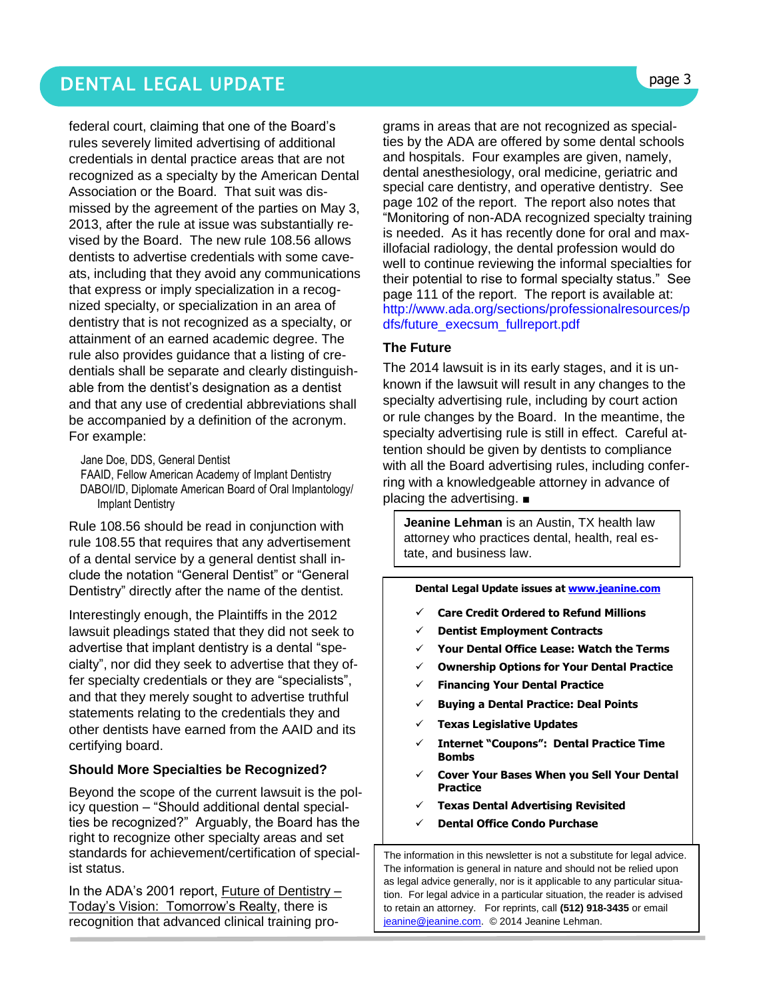federal court, claiming that one of the Board's rules severely limited advertising of additional credentials in dental practice areas that are not recognized as a specialty by the American Dental Association or the Board. That suit was dismissed by the agreement of the parties on May 3, 2013, after the rule at issue was substantially revised by the Board. The new rule 108.56 allows dentists to advertise credentials with some caveats, including that they avoid any communications that express or imply specialization in a recognized specialty, or specialization in an area of dentistry that is not recognized as a specialty, or attainment of an earned academic degree. The rule also provides guidance that a listing of credentials shall be separate and clearly distinguishable from the dentist's designation as a dentist and that any use of credential abbreviations shall be accompanied by a definition of the acronym. For example:

Jane Doe, DDS, General Dentist

FAAID, Fellow American Academy of Implant Dentistry DABOI/ID, Diplomate American Board of Oral Implantology/ Implant Dentistry

Rule 108.56 should be read in conjunction with rule 108.55 that requires that any advertisement of a dental service by a general dentist shall include the notation "General Dentist" or "General Dentistry" directly after the name of the dentist.

Interestingly enough, the Plaintiffs in the 2012 lawsuit pleadings stated that they did not seek to advertise that implant dentistry is a dental "specialty", nor did they seek to advertise that they offer specialty credentials or they are "specialists", and that they merely sought to advertise truthful statements relating to the credentials they and other dentists have earned from the AAID and its certifying board.

#### **Should More Specialties be Recognized?**

Beyond the scope of the current lawsuit is the policy question – "Should additional dental specialties be recognized?" Arguably, the Board has the right to recognize other specialty areas and set standards for achievement/certification of specialist status.

In the ADA's 2001 report, Future of Dentistry – Today's Vision: Tomorrow's Realty, there is recognition that advanced clinical training pro-

grams in areas that are not recognized as specialties by the ADA are offered by some dental schools and hospitals. Four examples are given, namely, dental anesthesiology, oral medicine, geriatric and special care dentistry, and operative dentistry. See page 102 of the report. The report also notes that "Monitoring of non-ADA recognized specialty training is needed. As it has recently done for oral and maxillofacial radiology, the dental profession would do well to continue reviewing the informal specialties for their potential to rise to formal specialty status." See page 111 of the report. The report is available at: [http://www.ada.org/sections/professionalresources/p](http://www.ada.org/sections/professionalresources/pdfs/future_execsum_fullreport.pdf) [dfs/future\\_execsum\\_fullreport.pdf](http://www.ada.org/sections/professionalresources/pdfs/future_execsum_fullreport.pdf)

#### **The Future**

The 2014 lawsuit is in its early stages, and it is unknown if the lawsuit will result in any changes to the specialty advertising rule, including by court action or rule changes by the Board. In the meantime, the specialty advertising rule is still in effect. Careful attention should be given by dentists to compliance with all the Board advertising rules, including conferring with a knowledgeable attorney in advance of placing the advertising. ■

**Jeanine Lehman** is an Austin, TX health law attorney who practices dental, health, real estate, and business law.

**Dental Legal Update issues a[t www.jeanine.com](http://www.jeanine.com/)** 

- **Care Credit Ordered to Refund Millions**
- **Dentist Employment Contracts**
- **Your Dental Office Lease: Watch the Terms**
- **Ownership Options for Your Dental Practice**
- **Financing Your Dental Practice**
- **Buying a Dental Practice: Deal Points**
- **Texas Legislative Updates**
- **Internet "Coupons": Dental Practice Time Bombs**
- **Cover Your Bases When you Sell Your Dental Practice**
- **Texas Dental Advertising Revisited**
- **Dental Office Condo Purchase**

The information in this newsletter is not a substitute for legal advice. The information is general in nature and should not be relied upon as legal advice generally, nor is it applicable to any particular situation. For legal advice in a particular situation, the reader is advised to retain an attorney. For reprints, call **(512) 918-3435** or email [jeanine@jeanine.com.](mailto:jeanine@jeanine.com) © 2014 Jeanine Lehman.